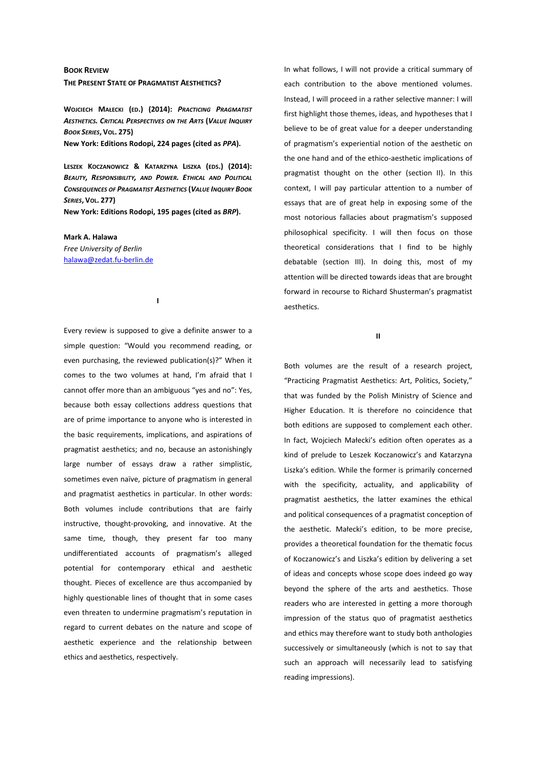## **BOOK REVIEW THE PRESENT STATE OF PRAGMATIST AESTHETICS?**

**WOJCIECH MAŁECKI (ED.) (2014):** *PRACTICING PRAGMATIST AESTHETICS. CRITICAL PERSPECTIVES ON THE ARTS* **(***VALUE INQUIRY BOOK SERIES***, VOL. 275)** 

**New York: Editions Rodopi, 224 pages (cited as** *PPA***).** 

**LESZEK KOCZANOWICZ & KATARZYNA LISZKA (EDS.) (2014):** *BEAUTY, RESPONSIBILITY, AND POWER. ETHICAL AND POLITICAL CONSEQUENCES OF PRAGMATIST AESTHETICS* **(***VALUE INQUIRY BOOK SERIES***, VOL. 277)** 

**I** 

**New York: Editions Rodopi, 195 pages (cited as** *BRP***).** 

**Mark A. Halawa**  *Free University of Berlin*  halawa@zedat.fu-berlin.de

Every review is supposed to give a definite answer to a simple question: "Would you recommend reading, or even purchasing, the reviewed publication(s)?" When it comes to the two volumes at hand, I'm afraid that I cannot offer more than an ambiguous "yes and no": Yes, because both essay collections address questions that are of prime importance to anyone who is interested in the basic requirements, implications, and aspirations of pragmatist aesthetics; and no, because an astonishingly large number of essays draw a rather simplistic, sometimes even naïve, picture of pragmatism in general and pragmatist aesthetics in particular. In other words: Both volumes include contributions that are fairly instructive, thought-provoking, and innovative. At the same time, though, they present far too many undifferentiated accounts of pragmatism's alleged potential for contemporary ethical and aesthetic thought. Pieces of excellence are thus accompanied by highly questionable lines of thought that in some cases even threaten to undermine pragmatism's reputation in regard to current debates on the nature and scope of aesthetic experience and the relationship between ethics and aesthetics, respectively.

In what follows, I will not provide a critical summary of each contribution to the above mentioned volumes. Instead, I will proceed in a rather selective manner: I will first highlight those themes, ideas, and hypotheses that I believe to be of great value for a deeper understanding of pragmatism's experiential notion of the aesthetic on the one hand and of the ethico-aesthetic implications of pragmatist thought on the other (section II). In this context, I will pay particular attention to a number of essays that are of great help in exposing some of the most notorious fallacies about pragmatism's supposed philosophical specificity. I will then focus on those theoretical considerations that I find to be highly debatable (section III). In doing this, most of my attention will be directed towards ideas that are brought forward in recourse to Richard Shusterman's pragmatist aesthetics.

**II** 

Both volumes are the result of a research project, "Practicing Pragmatist Aesthetics: Art, Politics, Society," that was funded by the Polish Ministry of Science and Higher Education. It is therefore no coincidence that both editions are supposed to complement each other. In fact, Wojciech Małecki's edition often operates as a kind of prelude to Leszek Koczanowicz's and Katarzyna Liszka's edition. While the former is primarily concerned with the specificity, actuality, and applicability of pragmatist aesthetics, the latter examines the ethical and political consequences of a pragmatist conception of the aesthetic. Małecki's edition, to be more precise, provides a theoretical foundation for the thematic focus of Koczanowicz's and Liszka's edition by delivering a set of ideas and concepts whose scope does indeed go way beyond the sphere of the arts and aesthetics. Those readers who are interested in getting a more thorough impression of the status quo of pragmatist aesthetics and ethics may therefore want to study both anthologies successively or simultaneously (which is not to say that such an approach will necessarily lead to satisfying reading impressions).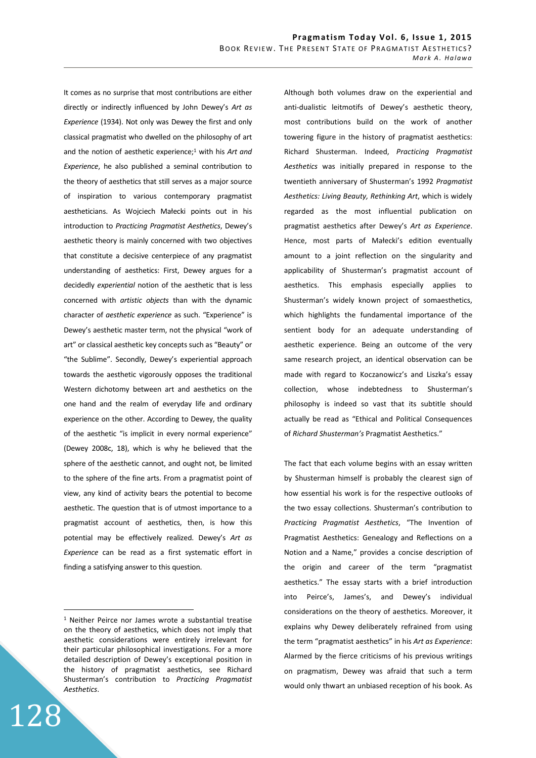It comes as no surprise that most contributions are either directly or indirectly influenced by John Dewey's *Art as Experience* (1934). Not only was Dewey the first and only classical pragmatist who dwelled on the philosophy of art and the notion of aesthetic experience;<sup>1</sup> with his Art and *Experience*, he also published a seminal contribution to the theory of aesthetics that still serves as a major source of inspiration to various contemporary pragmatist aestheticians. As Wojciech Małecki points out in his introduction to *Practicing Pragmatist Aesthetics*, Dewey's aesthetic theory is mainly concerned with two objectives that constitute a decisive centerpiece of any pragmatist understanding of aesthetics: First, Dewey argues for a decidedly *experiential* notion of the aesthetic that is less concerned with *artistic objects* than with the dynamic character of *aesthetic experience* as such. "Experience" is Dewey's aesthetic master term, not the physical "work of art" or classical aesthetic key concepts such as "Beauty" or "the Sublime". Secondly, Dewey's experiential approach towards the aesthetic vigorously opposes the traditional Western dichotomy between art and aesthetics on the one hand and the realm of everyday life and ordinary experience on the other. According to Dewey, the quality of the aesthetic "is implicit in every normal experience" (Dewey 2008c, 18), which is why he believed that the sphere of the aesthetic cannot, and ought not, be limited to the sphere of the fine arts. From a pragmatist point of view, any kind of activity bears the potential to become aesthetic. The question that is of utmost importance to a pragmatist account of aesthetics, then, is how this potential may be effectively realized. Dewey's *Art as Experience* can be read as a first systematic effort in finding a satisfying answer to this question.

128

 $\overline{a}$ 

Although both volumes draw on the experiential and anti-dualistic leitmotifs of Dewey's aesthetic theory, most contributions build on the work of another towering figure in the history of pragmatist aesthetics: Richard Shusterman. Indeed, *Practicing Pragmatist Aesthetics* was initially prepared in response to the twentieth anniversary of Shusterman's 1992 *Pragmatist Aesthetics: Living Beauty, Rethinking Art*, which is widely regarded as the most influential publication on pragmatist aesthetics after Dewey's *Art as Experience*. Hence, most parts of Małecki's edition eventually amount to a joint reflection on the singularity and applicability of Shusterman's pragmatist account of aesthetics. This emphasis especially applies to Shusterman's widely known project of somaesthetics, which highlights the fundamental importance of the sentient body for an adequate understanding of aesthetic experience. Being an outcome of the very same research project, an identical observation can be made with regard to Koczanowicz's and Liszka's essay collection, whose indebtedness to Shusterman's philosophy is indeed so vast that its subtitle should actually be read as "Ethical and Political Consequences of *Richard Shusterman's* Pragmatist Aesthetics."

The fact that each volume begins with an essay written by Shusterman himself is probably the clearest sign of how essential his work is for the respective outlooks of the two essay collections. Shusterman's contribution to *Practicing Pragmatist Aesthetics*, "The Invention of Pragmatist Aesthetics: Genealogy and Reflections on a Notion and a Name," provides a concise description of the origin and career of the term "pragmatist aesthetics." The essay starts with a brief introduction into Peirce's, James's, and Dewey's individual considerations on the theory of aesthetics. Moreover, it explains why Dewey deliberately refrained from using the term "pragmatist aesthetics" in his *Art as Experience*: Alarmed by the fierce criticisms of his previous writings on pragmatism, Dewey was afraid that such a term would only thwart an unbiased reception of his book. As

<sup>&</sup>lt;sup>1</sup> Neither Peirce nor James wrote a substantial treatise on the theory of aesthetics, which does not imply that aesthetic considerations were entirely irrelevant for their particular philosophical investigations. For a more detailed description of Dewey's exceptional position in the history of pragmatist aesthetics, see Richard Shusterman's contribution to *Practicing Pragmatist Aesthetics*.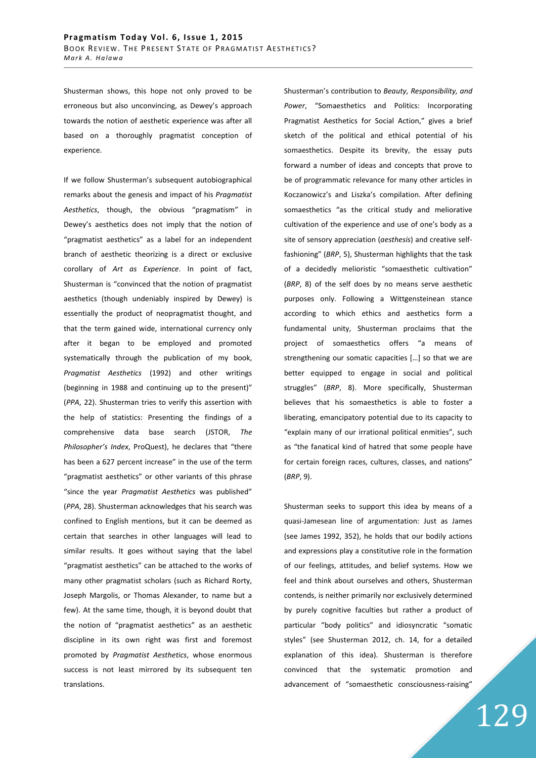Shusterman shows, this hope not only proved to be erroneous but also unconvincing, as Dewey's approach towards the notion of aesthetic experience was after all based on a thoroughly pragmatist conception of experience.

If we follow Shusterman's subsequent autobiographical remarks about the genesis and impact of his *Pragmatist Aesthetics*, though, the obvious "pragmatism" in Dewey's aesthetics does not imply that the notion of "pragmatist aesthetics" as a label for an independent branch of aesthetic theorizing is a direct or exclusive corollary of *Art as Experience*. In point of fact, Shusterman is "convinced that the notion of pragmatist aesthetics (though undeniably inspired by Dewey) is essentially the product of neopragmatist thought, and that the term gained wide, international currency only after it began to be employed and promoted systematically through the publication of my book, *Pragmatist Aesthetics* (1992) and other writings (beginning in 1988 and continuing up to the present)" (*PPA*, 22). Shusterman tries to verify this assertion with the help of statistics: Presenting the findings of a comprehensive data base search (JSTOR, *The Philosopher's Index*, ProQuest), he declares that "there has been a 627 percent increase" in the use of the term "pragmatist aesthetics" or other variants of this phrase "since the year *Pragmatist Aesthetics* was published" (*PPA*, 28). Shusterman acknowledges that his search was confined to English mentions, but it can be deemed as certain that searches in other languages will lead to similar results. It goes without saying that the label "pragmatist aesthetics" can be attached to the works of many other pragmatist scholars (such as Richard Rorty, Joseph Margolis, or Thomas Alexander, to name but a few). At the same time, though, it is beyond doubt that the notion of "pragmatist aesthetics" as an aesthetic discipline in its own right was first and foremost promoted by *Pragmatist Aesthetics*, whose enormous success is not least mirrored by its subsequent ten translations.

Shusterman's contribution to *Beauty, Responsibility, and Power*, "Somaesthetics and Politics: Incorporating Pragmatist Aesthetics for Social Action," gives a brief sketch of the political and ethical potential of his somaesthetics. Despite its brevity, the essay puts forward a number of ideas and concepts that prove to be of programmatic relevance for many other articles in Koczanowicz's and Liszka's compilation. After defining somaesthetics "as the critical study and meliorative cultivation of the experience and use of one's body as a site of sensory appreciation (*aesthesis*) and creative selffashioning" (*BRP*, 5), Shusterman highlights that the task of a decidedly melioristic "somaesthetic cultivation" (*BRP*, 8) of the self does by no means serve aesthetic purposes only. Following a Wittgensteinean stance according to which ethics and aesthetics form a fundamental unity, Shusterman proclaims that the project of somaesthetics offers "a means of strengthening our somatic capacities […] so that we are better equipped to engage in social and political struggles" (*BRP*, 8). More specifically, Shusterman believes that his somaesthetics is able to foster a liberating, emancipatory potential due to its capacity to "explain many of our irrational political enmities", such as "the fanatical kind of hatred that some people have for certain foreign races, cultures, classes, and nations" (*BRP*, 9).

Shusterman seeks to support this idea by means of a quasi-Jamesean line of argumentation: Just as James (see James 1992, 352), he holds that our bodily actions and expressions play a constitutive role in the formation of our feelings, attitudes, and belief systems. How we feel and think about ourselves and others, Shusterman contends, is neither primarily nor exclusively determined by purely cognitive faculties but rather a product of particular "body politics" and idiosyncratic "somatic styles" (see Shusterman 2012, ch. 14, for a detailed explanation of this idea). Shusterman is therefore convinced that the systematic promotion and advancement of "somaesthetic consciousness-raising"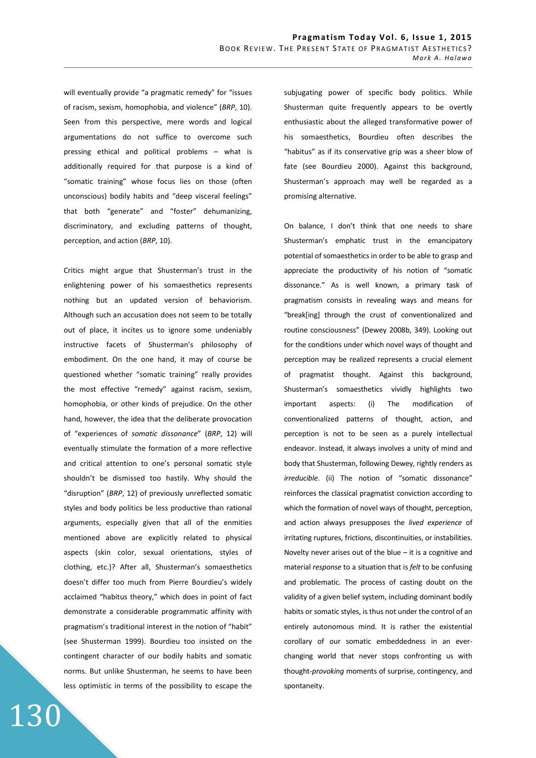will eventually provide "a pragmatic remedy" for "issues of racism, sexism, homophobia, and violence" (*BRP*, 10). Seen from this perspective, mere words and logical argumentations do not suffice to overcome such pressing ethical and political problems – what is additionally required for that purpose is a kind of "somatic training" whose focus lies on those (often unconscious) bodily habits and "deep visceral feelings" that both "generate" and "foster" dehumanizing, discriminatory, and excluding patterns of thought, perception, and action (*BRP*, 10).

Critics might argue that Shusterman's trust in the enlightening power of his somaesthetics represents nothing but an updated version of behaviorism. Although such an accusation does not seem to be totally out of place, it incites us to ignore some undeniably instructive facets of Shusterman's philosophy of embodiment. On the one hand, it may of course be questioned whether "somatic training" really provides the most effective "remedy" against racism, sexism, homophobia, or other kinds of prejudice. On the other hand, however, the idea that the deliberate provocation of "experiences of *somatic dissonance*" (*BRP*, 12) will eventually stimulate the formation of a more reflective and critical attention to one's personal somatic style shouldn't be dismissed too hastily. Why should the "disruption" (*BRP*, 12) of previously unreflected somatic styles and body politics be less productive than rational arguments, especially given that all of the enmities mentioned above are explicitly related to physical aspects (skin color, sexual orientations, styles of clothing, etc.)? After all, Shusterman's somaesthetics doesn't differ too much from Pierre Bourdieu's widely acclaimed "habitus theory," which does in point of fact demonstrate a considerable programmatic affinity with pragmatism's traditional interest in the notion of "habit" (see Shusterman 1999). Bourdieu too insisted on the contingent character of our bodily habits and somatic norms. But unlike Shusterman, he seems to have been less optimistic in terms of the possibility to escape the subjugating power of specific body politics. While Shusterman quite frequently appears to be overtly enthusiastic about the alleged transformative power of his somaesthetics, Bourdieu often describes the "habitus" as if its conservative grip was a sheer blow of fate (see Bourdieu 2000). Against this background, Shusterman's approach may well be regarded as a promising alternative.

On balance, I don't think that one needs to share Shusterman's emphatic trust in the emancipatory potential of somaesthetics in order to be able to grasp and appreciate the productivity of his notion of "somatic dissonance." As is well known, a primary task of pragmatism consists in revealing ways and means for "break[ing] through the crust of conventionalized and routine consciousness" (Dewey 2008b, 349). Looking out for the conditions under which novel ways of thought and perception may be realized represents a crucial element of pragmatist thought. Against this background, Shusterman's somaesthetics vividly highlights two important aspects: (i) The modification of conventionalized patterns of thought, action, and perception is not to be seen as a purely intellectual endeavor. Instead, it always involves a unity of mind and body that Shusterman, following Dewey, rightly renders as *irreducible*. (ii) The notion of "somatic dissonance" reinforces the classical pragmatist conviction according to which the formation of novel ways of thought, perception, and action always presupposes the *lived experience* of irritating ruptures, frictions, discontinuities, or instabilities. Novelty never arises out of the blue  $-$  it is a cognitive and material *response* to a situation that is *felt* to be confusing and problematic. The process of casting doubt on the validity of a given belief system, including dominant bodily habits or somatic styles, is thus not under the control of an entirely autonomous mind. It is rather the existential corollary of our somatic embeddedness in an everchanging world that never stops confronting us with thought-*provoking* moments of surprise, contingency, and spontaneity.

130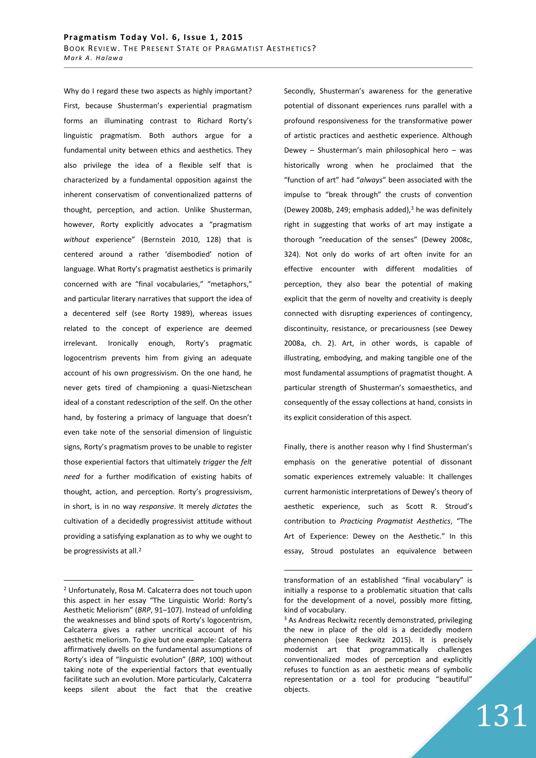Why do I regard these two aspects as highly important? First, because Shusterman's experiential pragmatism forms an illuminating contrast to Richard Rorty's linguistic pragmatism. Both authors argue for a fundamental unity between ethics and aesthetics. They also privilege the idea of a flexible self that is characterized by a fundamental opposition against the inherent conservatism of conventionalized patterns of thought, perception, and action. Unlike Shusterman, however, Rorty explicitly advocates a "pragmatism *without* experience" (Bernstein 2010, 128) that is centered around a rather 'disembodied' notion of language. What Rorty's pragmatist aesthetics is primarily concerned with are "final vocabularies," "metaphors," and particular literary narratives that support the idea of a decentered self (see Rorty 1989), whereas issues related to the concept of experience are deemed irrelevant. Ironically enough, Rorty's pragmatic logocentrism prevents him from giving an adequate account of his own progressivism. On the one hand, he never gets tired of championing a quasi-Nietzschean ideal of a constant redescription of the self. On the other hand, by fostering a primacy of language that doesn't even take note of the sensorial dimension of linguistic signs, Rorty's pragmatism proves to be unable to register those experiential factors that ultimately *trigger* the *felt need* for a further modification of existing habits of thought, action, and perception. Rorty's progressivism, in short, is in no way *responsive*. It merely *dictates* the cultivation of a decidedly progressivist attitude without providing a satisfying explanation as to why we ought to be progressivists at all.<sup>2</sup>

 $\overline{a}$ 

Secondly, Shusterman's awareness for the generative potential of dissonant experiences runs parallel with a profound responsiveness for the transformative power of artistic practices and aesthetic experience. Although Dewey – Shusterman's main philosophical hero – was historically wrong when he proclaimed that the "function of art" had "*always*" been associated with the impulse to "break through" the crusts of convention (Dewey 2008b, 249; emphasis added),<sup>3</sup> he was definitely right in suggesting that works of art may instigate a thorough "reeducation of the senses" (Dewey 2008c, 324). Not only do works of art often invite for an effective encounter with different modalities of perception, they also bear the potential of making explicit that the germ of novelty and creativity is deeply connected with disrupting experiences of contingency, discontinuity, resistance, or precariousness (see Dewey 2008a, ch. 2). Art, in other words, is capable of illustrating, embodying, and making tangible one of the most fundamental assumptions of pragmatist thought. A particular strength of Shusterman's somaesthetics, and consequently of the essay collections at hand, consists in its explicit consideration of this aspect.

Finally, there is another reason why I find Shusterman's emphasis on the generative potential of dissonant somatic experiences extremely valuable: It challenges current harmonistic interpretations of Dewey's theory of aesthetic experience, such as Scott R. Stroud's contribution to *Practicing Pragmatist Aesthetics*, "The Art of Experience: Dewey on the Aesthetic." In this essay, Stroud postulates an equivalence between

 $\overline{a}$ 

131

<sup>2</sup> Unfortunately, Rosa M. Calcaterra does not touch upon this aspect in her essay "The Linguistic World: Rorty's Aesthetic Meliorism" (*BRP*, 91–107). Instead of unfolding the weaknesses and blind spots of Rorty's logocentrism, Calcaterra gives a rather uncritical account of his aesthetic meliorism. To give but one example: Calcaterra affirmatively dwells on the fundamental assumptions of Rorty's idea of "linguistic evolution" (*BRP*, 100) without taking note of the experiential factors that eventually facilitate such an evolution. More particularly, Calcaterra keeps silent about the fact that the creative

transformation of an established "final vocabulary" is initially a response to a problematic situation that calls for the development of a novel, possibly more fitting, kind of vocabulary.

<sup>&</sup>lt;sup>3</sup> As Andreas Reckwitz recently demonstrated, privileging the new in place of the old is a decidedly modern phenomenon (see Reckwitz 2015). It is precisely modernist art that programmatically challenges conventionalized modes of perception and explicitly refuses to function as an aesthetic means of symbolic representation or a tool for producing "beautiful" objects.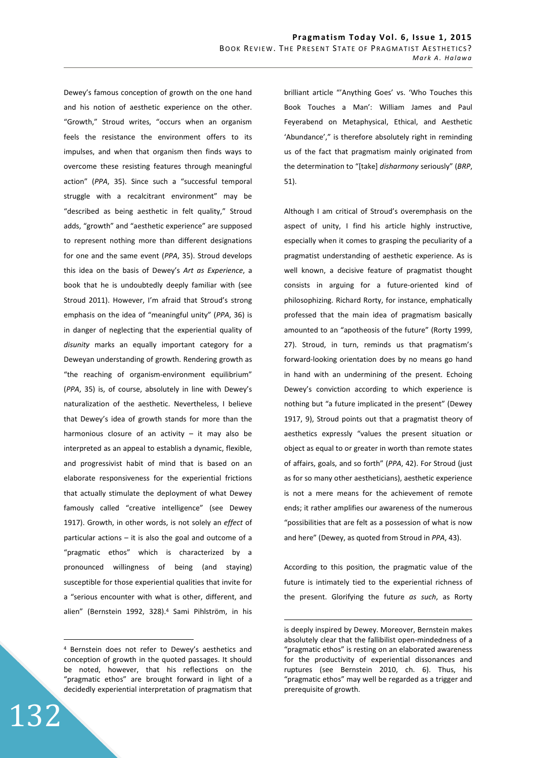Dewey's famous conception of growth on the one hand and his notion of aesthetic experience on the other. "Growth," Stroud writes, "occurs when an organism feels the resistance the environment offers to its impulses, and when that organism then finds ways to overcome these resisting features through meaningful action" (*PPA*, 35). Since such a "successful temporal struggle with a recalcitrant environment" may be "described as being aesthetic in felt quality," Stroud adds, "growth" and "aesthetic experience" are supposed to represent nothing more than different designations for one and the same event (*PPA*, 35). Stroud develops this idea on the basis of Dewey's *Art as Experience*, a book that he is undoubtedly deeply familiar with (see Stroud 2011). However, I'm afraid that Stroud's strong emphasis on the idea of "meaningful unity" (*PPA*, 36) is in danger of neglecting that the experiential quality of *disunity* marks an equally important category for a Deweyan understanding of growth. Rendering growth as "the reaching of organism-environment equilibrium" (*PPA*, 35) is, of course, absolutely in line with Dewey's naturalization of the aesthetic. Nevertheless, I believe that Dewey's idea of growth stands for more than the harmonious closure of an activity  $-$  it may also be interpreted as an appeal to establish a dynamic, flexible, and progressivist habit of mind that is based on an elaborate responsiveness for the experiential frictions that actually stimulate the deployment of what Dewey famously called "creative intelligence" (see Dewey 1917). Growth, in other words, is not solely an *effect* of particular actions – it is also the goal and outcome of a "pragmatic ethos" which is characterized by a pronounced willingness of being (and staying) susceptible for those experiential qualities that invite for a "serious encounter with what is other, different, and alien" (Bernstein 1992, 328).<sup>4</sup> Sami Pihlström, in his brilliant article "'Anything Goes' vs. 'Who Touches this Book Touches a Man': William James and Paul Feyerabend on Metaphysical, Ethical, and Aesthetic 'Abundance'," is therefore absolutely right in reminding us of the fact that pragmatism mainly originated from the determination to "[take] *disharmony* seriously" (*BRP*, 51).

Although I am critical of Stroud's overemphasis on the aspect of unity, I find his article highly instructive, especially when it comes to grasping the peculiarity of a pragmatist understanding of aesthetic experience. As is well known, a decisive feature of pragmatist thought consists in arguing for a future-oriented kind of philosophizing. Richard Rorty, for instance, emphatically professed that the main idea of pragmatism basically amounted to an "apotheosis of the future" (Rorty 1999, 27). Stroud, in turn, reminds us that pragmatism's forward-looking orientation does by no means go hand in hand with an undermining of the present. Echoing Dewey's conviction according to which experience is nothing but "a future implicated in the present" (Dewey 1917, 9), Stroud points out that a pragmatist theory of aesthetics expressly "values the present situation or object as equal to or greater in worth than remote states of affairs, goals, and so forth" (*PPA*, 42). For Stroud (just as for so many other aestheticians), aesthetic experience is not a mere means for the achievement of remote ends; it rather amplifies our awareness of the numerous "possibilities that are felt as a possession of what is now and here" (Dewey, as quoted from Stroud in *PPA*, 43).

According to this position, the pragmatic value of the future is intimately tied to the experiential richness of the present. Glorifying the future *as such*, as Rorty

 $\overline{a}$ 

132

 $\overline{a}$ 

<sup>4</sup> Bernstein does not refer to Dewey's aesthetics and conception of growth in the quoted passages. It should be noted, however, that his reflections on the "pragmatic ethos" are brought forward in light of a decidedly experiential interpretation of pragmatism that

is deeply inspired by Dewey. Moreover, Bernstein makes absolutely clear that the fallibilist open-mindedness of a "pragmatic ethos" is resting on an elaborated awareness for the productivity of experiential dissonances and ruptures (see Bernstein 2010, ch. 6). Thus, his "pragmatic ethos" may well be regarded as a trigger and prerequisite of growth.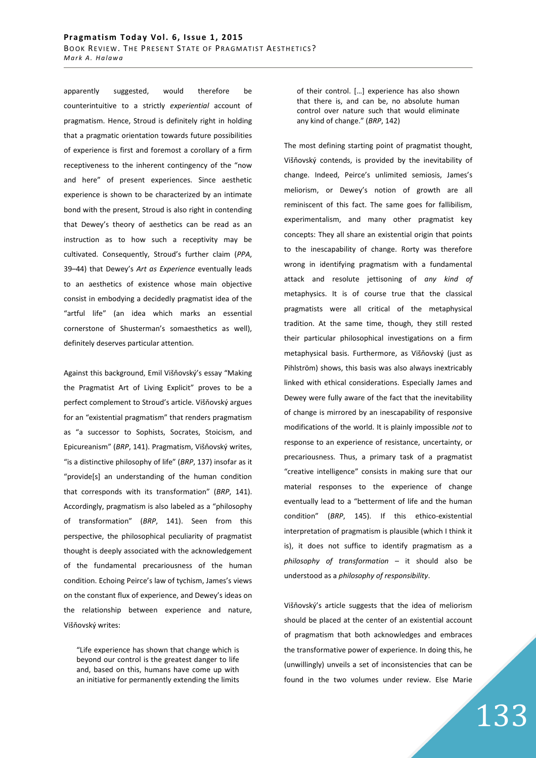apparently suggested, would therefore be counterintuitive to a strictly *experiential* account of pragmatism. Hence, Stroud is definitely right in holding that a pragmatic orientation towards future possibilities of experience is first and foremost a corollary of a firm receptiveness to the inherent contingency of the "now and here" of present experiences. Since aesthetic experience is shown to be characterized by an intimate bond with the present, Stroud is also right in contending that Dewey's theory of aesthetics can be read as an instruction as to how such a receptivity may be cultivated. Consequently, Stroud's further claim (*PPA*, 39–44) that Dewey's *Art as Experience* eventually leads to an aesthetics of existence whose main objective consist in embodying a decidedly pragmatist idea of the "artful life" (an idea which marks an essential cornerstone of Shusterman's somaesthetics as well), definitely deserves particular attention.

Against this background, Emil Višňovský's essay "Making the Pragmatist Art of Living Explicit" proves to be a perfect complement to Stroud's article. Višňovský argues for an "existential pragmatism" that renders pragmatism as "a successor to Sophists, Socrates, Stoicism, and Epicureanism" (*BRP*, 141). Pragmatism, Višňovský writes, "is a distinctive philosophy of life" (*BRP*, 137) insofar as it "provide[s] an understanding of the human condition that corresponds with its transformation" (*BRP*, 141). Accordingly, pragmatism is also labeled as a "philosophy of transformation" (*BRP*, 141). Seen from this perspective, the philosophical peculiarity of pragmatist thought is deeply associated with the acknowledgement of the fundamental precariousness of the human condition. Echoing Peirce's law of tychism, James's views on the constant flux of experience, and Dewey's ideas on the relationship between experience and nature, Višňovský writes:

"Life experience has shown that change which is beyond our control is the greatest danger to life and, based on this, humans have come up with an initiative for permanently extending the limits of their control. […] experience has also shown that there is, and can be, no absolute human control over nature such that would eliminate any kind of change." (*BRP*, 142)

The most defining starting point of pragmatist thought, Višňovský contends, is provided by the inevitability of change. Indeed, Peirce's unlimited semiosis, James's meliorism, or Dewey's notion of growth are all reminiscent of this fact. The same goes for fallibilism, experimentalism, and many other pragmatist key concepts: They all share an existential origin that points to the inescapability of change. Rorty was therefore wrong in identifying pragmatism with a fundamental attack and resolute jettisoning of *any kind of* metaphysics. It is of course true that the classical pragmatists were all critical of the metaphysical tradition. At the same time, though, they still rested their particular philosophical investigations on a firm metaphysical basis. Furthermore, as Višňovský (just as Pihlström) shows, this basis was also always inextricably linked with ethical considerations. Especially James and Dewey were fully aware of the fact that the inevitability of change is mirrored by an inescapability of responsive modifications of the world. It is plainly impossible *not* to response to an experience of resistance, uncertainty, or precariousness. Thus, a primary task of a pragmatist "creative intelligence" consists in making sure that our material responses to the experience of change eventually lead to a "betterment of life and the human condition" (*BRP*, 145). If this ethico-existential interpretation of pragmatism is plausible (which I think it is), it does not suffice to identify pragmatism as a *philosophy of transformation* – it should also be understood as a *philosophy of responsibility*.

Višňovský's article suggests that the idea of meliorism should be placed at the center of an existential account of pragmatism that both acknowledges and embraces the transformative power of experience. In doing this, he (unwillingly) unveils a set of inconsistencies that can be found in the two volumes under review. Else Marie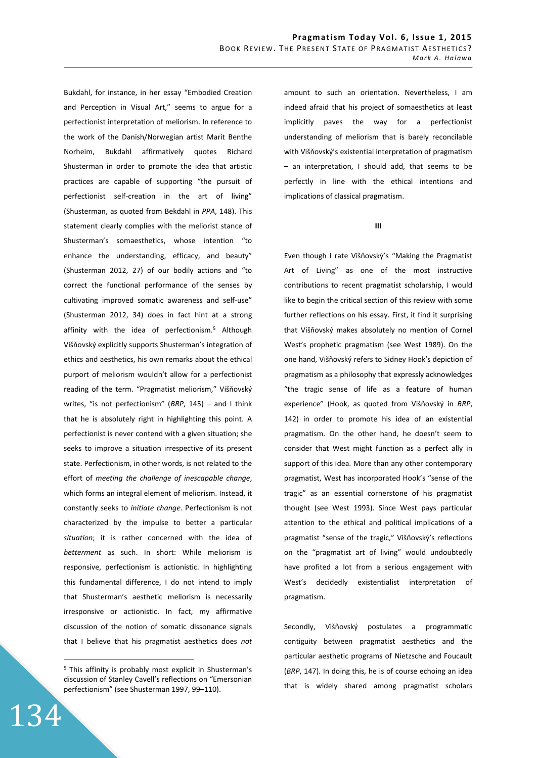Bukdahl, for instance, in her essay "Embodied Creation and Perception in Visual Art," seems to argue for a perfectionist interpretation of meliorism. In reference to the work of the Danish/Norwegian artist Marit Benthe Norheim, Bukdahl affirmatively quotes Richard Shusterman in order to promote the idea that artistic practices are capable of supporting "the pursuit of perfectionist self-creation in the art of living" (Shusterman, as quoted from Bekdahl in *PPA*, 148). This statement clearly complies with the meliorist stance of Shusterman's somaesthetics, whose intention "to enhance the understanding, efficacy, and beauty" (Shusterman 2012, 27) of our bodily actions and "to correct the functional performance of the senses by cultivating improved somatic awareness and self-use" (Shusterman 2012, 34) does in fact hint at a strong affinity with the idea of perfectionism.<sup>5</sup> Although Višňovský explicitly supports Shusterman's integration of ethics and aesthetics, his own remarks about the ethical purport of meliorism wouldn't allow for a perfectionist reading of the term. "Pragmatist meliorism," Višňovský writes, "is not perfectionism" (*BRP*, 145) – and I think that he is absolutely right in highlighting this point. A perfectionist is never contend with a given situation; she seeks to improve a situation irrespective of its present state. Perfectionism, in other words, is not related to the effort of *meeting the challenge of inescapable change*, which forms an integral element of meliorism. Instead, it constantly seeks to *initiate change*. Perfectionism is not characterized by the impulse to better a particular *situation*; it is rather concerned with the idea of *betterment* as such. In short: While meliorism is responsive, perfectionism is actionistic. In highlighting this fundamental difference, I do not intend to imply that Shusterman's aesthetic meliorism is necessarily irresponsive or actionistic. In fact, my affirmative discussion of the notion of somatic dissonance signals that I believe that his pragmatist aesthetics does *not*

134

 $\overline{a}$ 

amount to such an orientation. Nevertheless, I am indeed afraid that his project of somaesthetics at least implicitly paves the way for a perfectionist understanding of meliorism that is barely reconcilable with Višňovský's existential interpretation of pragmatism – an interpretation, I should add, that seems to be perfectly in line with the ethical intentions and implications of classical pragmatism.

**III** 

Even though I rate Višňovský's "Making the Pragmatist Art of Living" as one of the most instructive contributions to recent pragmatist scholarship, I would like to begin the critical section of this review with some further reflections on his essay. First, it find it surprising that Višňovský makes absolutely no mention of Cornel West's prophetic pragmatism (see West 1989). On the one hand, Višňovský refers to Sidney Hook's depiction of pragmatism as a philosophy that expressly acknowledges "the tragic sense of life as a feature of human experience" (Hook, as quoted from Višňovský in *BRP*, 142) in order to promote his idea of an existential pragmatism. On the other hand, he doesn't seem to consider that West might function as a perfect ally in support of this idea. More than any other contemporary pragmatist, West has incorporated Hook's "sense of the tragic" as an essential cornerstone of his pragmatist thought (see West 1993). Since West pays particular attention to the ethical and political implications of a pragmatist "sense of the tragic," Višňovský's reflections on the "pragmatist art of living" would undoubtedly have profited a lot from a serious engagement with West's decidedly existentialist interpretation of pragmatism.

Secondly, Višňovský postulates a programmatic contiguity between pragmatist aesthetics and the particular aesthetic programs of Nietzsche and Foucault (*BRP*, 147). In doing this, he is of course echoing an idea that is widely shared among pragmatist scholars

<sup>5</sup> This affinity is probably most explicit in Shusterman's discussion of Stanley Cavell's reflections on "Emersonian perfectionism" (see Shusterman 1997, 99–110).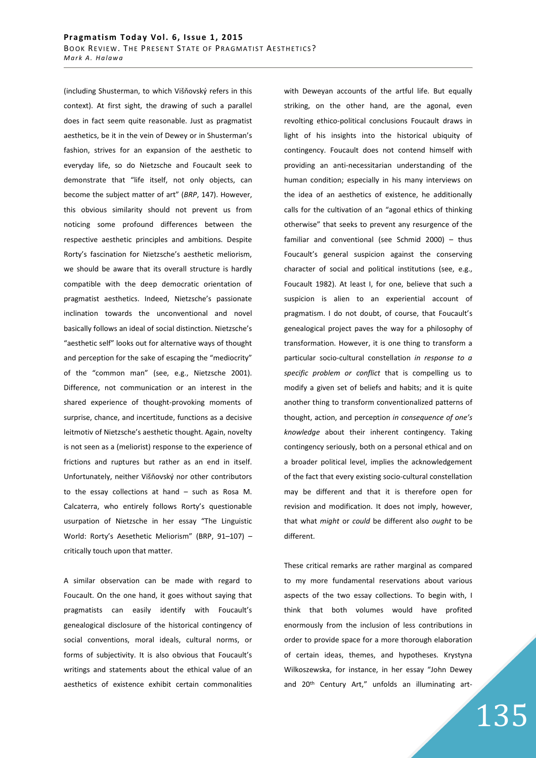(including Shusterman, to which Višňovský refers in this context). At first sight, the drawing of such a parallel does in fact seem quite reasonable. Just as pragmatist aesthetics, be it in the vein of Dewey or in Shusterman's fashion, strives for an expansion of the aesthetic to everyday life, so do Nietzsche and Foucault seek to demonstrate that "life itself, not only objects, can become the subject matter of art" (*BRP*, 147). However, this obvious similarity should not prevent us from noticing some profound differences between the respective aesthetic principles and ambitions. Despite Rorty's fascination for Nietzsche's aesthetic meliorism, we should be aware that its overall structure is hardly compatible with the deep democratic orientation of pragmatist aesthetics. Indeed, Nietzsche's passionate inclination towards the unconventional and novel basically follows an ideal of social distinction. Nietzsche's "aesthetic self" looks out for alternative ways of thought and perception for the sake of escaping the "mediocrity" of the "common man" (see, e.g., Nietzsche 2001). Difference, not communication or an interest in the shared experience of thought-provoking moments of surprise, chance, and incertitude, functions as a decisive leitmotiv of Nietzsche's aesthetic thought. Again, novelty is not seen as a (meliorist) response to the experience of frictions and ruptures but rather as an end in itself. Unfortunately, neither Višňovský nor other contributors to the essay collections at hand – such as Rosa M. Calcaterra, who entirely follows Rorty's questionable usurpation of Nietzsche in her essay "The Linguistic World: Rorty's Aesethetic Meliorism" (BRP, 91–107) – critically touch upon that matter.

A similar observation can be made with regard to Foucault. On the one hand, it goes without saying that pragmatists can easily identify with Foucault's genealogical disclosure of the historical contingency of social conventions, moral ideals, cultural norms, or forms of subjectivity. It is also obvious that Foucault's writings and statements about the ethical value of an aesthetics of existence exhibit certain commonalities with Deweyan accounts of the artful life. But equally striking, on the other hand, are the agonal, even revolting ethico-political conclusions Foucault draws in light of his insights into the historical ubiquity of contingency. Foucault does not contend himself with providing an anti-necessitarian understanding of the human condition; especially in his many interviews on the idea of an aesthetics of existence, he additionally calls for the cultivation of an "agonal ethics of thinking otherwise" that seeks to prevent any resurgence of the familiar and conventional (see Schmid 2000) – thus Foucault's general suspicion against the conserving character of social and political institutions (see, e.g., Foucault 1982). At least I, for one, believe that such a suspicion is alien to an experiential account of pragmatism. I do not doubt, of course, that Foucault's genealogical project paves the way for a philosophy of transformation. However, it is one thing to transform a particular socio-cultural constellation *in response to a specific problem or conflict* that is compelling us to modify a given set of beliefs and habits; and it is quite another thing to transform conventionalized patterns of thought, action, and perception *in consequence of one's knowledge* about their inherent contingency. Taking contingency seriously, both on a personal ethical and on a broader political level, implies the acknowledgement of the fact that every existing socio-cultural constellation may be different and that it is therefore open for revision and modification. It does not imply, however, that what *might* or *could* be different also *ought* to be different.

These critical remarks are rather marginal as compared to my more fundamental reservations about various aspects of the two essay collections. To begin with, I think that both volumes would have profited enormously from the inclusion of less contributions in order to provide space for a more thorough elaboration of certain ideas, themes, and hypotheses. Krystyna Wilkoszewska, for instance, in her essay "John Dewey and 20<sup>th</sup> Century Art," unfolds an illuminating art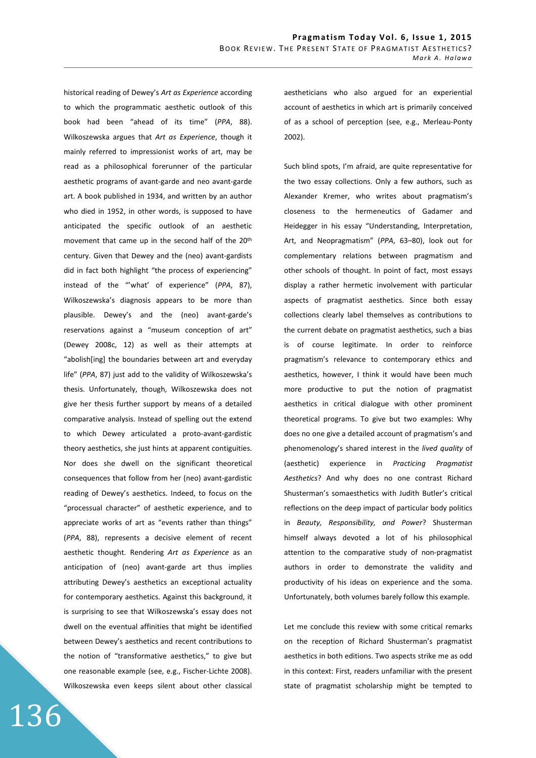historical reading of Dewey's *Art as Experience* according to which the programmatic aesthetic outlook of this book had been "ahead of its time" (*PPA*, 88). Wilkoszewska argues that *Art as Experience*, though it mainly referred to impressionist works of art, may be read as a philosophical forerunner of the particular aesthetic programs of avant-garde and neo avant-garde art. A book published in 1934, and written by an author who died in 1952, in other words, is supposed to have anticipated the specific outlook of an aesthetic movement that came up in the second half of the 20th century. Given that Dewey and the (neo) avant-gardists did in fact both highlight "the process of experiencing" instead of the "'what' of experience" (*PPA*, 87), Wilkoszewska's diagnosis appears to be more than plausible. Dewey's and the (neo) avant-garde's reservations against a "museum conception of art" (Dewey 2008c, 12) as well as their attempts at "abolish[ing] the boundaries between art and everyday life" (*PPA*, 87) just add to the validity of Wilkoszewska's thesis. Unfortunately, though, Wilkoszewska does not give her thesis further support by means of a detailed comparative analysis. Instead of spelling out the extend to which Dewey articulated a proto-avant-gardistic theory aesthetics, she just hints at apparent contiguities. Nor does she dwell on the significant theoretical consequences that follow from her (neo) avant-gardistic reading of Dewey's aesthetics. Indeed, to focus on the "processual character" of aesthetic experience, and to appreciate works of art as "events rather than things" (*PPA*, 88), represents a decisive element of recent aesthetic thought. Rendering *Art as Experience* as an anticipation of (neo) avant-garde art thus implies attributing Dewey's aesthetics an exceptional actuality for contemporary aesthetics. Against this background, it is surprising to see that Wilkoszewska's essay does not dwell on the eventual affinities that might be identified between Dewey's aesthetics and recent contributions to the notion of "transformative aesthetics," to give but one reasonable example (see, e.g., Fischer-Lichte 2008). Wilkoszewska even keeps silent about other classical

136

aestheticians who also argued for an experiential account of aesthetics in which art is primarily conceived of as a school of perception (see, e.g., Merleau-Ponty 2002).

Such blind spots, I'm afraid, are quite representative for the two essay collections. Only a few authors, such as Alexander Kremer, who writes about pragmatism's closeness to the hermeneutics of Gadamer and Heidegger in his essay "Understanding, Interpretation, Art, and Neopragmatism" (*PPA*, 63–80), look out for complementary relations between pragmatism and other schools of thought. In point of fact, most essays display a rather hermetic involvement with particular aspects of pragmatist aesthetics. Since both essay collections clearly label themselves as contributions to the current debate on pragmatist aesthetics, such a bias is of course legitimate. In order to reinforce pragmatism's relevance to contemporary ethics and aesthetics, however, I think it would have been much more productive to put the notion of pragmatist aesthetics in critical dialogue with other prominent theoretical programs. To give but two examples: Why does no one give a detailed account of pragmatism's and phenomenology's shared interest in the *lived quality* of (aesthetic) experience in *Practicing Pragmatist Aesthetics*? And why does no one contrast Richard Shusterman's somaesthetics with Judith Butler's critical reflections on the deep impact of particular body politics in *Beauty, Responsibility, and Power*? Shusterman himself always devoted a lot of his philosophical attention to the comparative study of non-pragmatist authors in order to demonstrate the validity and productivity of his ideas on experience and the soma. Unfortunately, both volumes barely follow this example.

Let me conclude this review with some critical remarks on the reception of Richard Shusterman's pragmatist aesthetics in both editions. Two aspects strike me as odd in this context: First, readers unfamiliar with the present state of pragmatist scholarship might be tempted to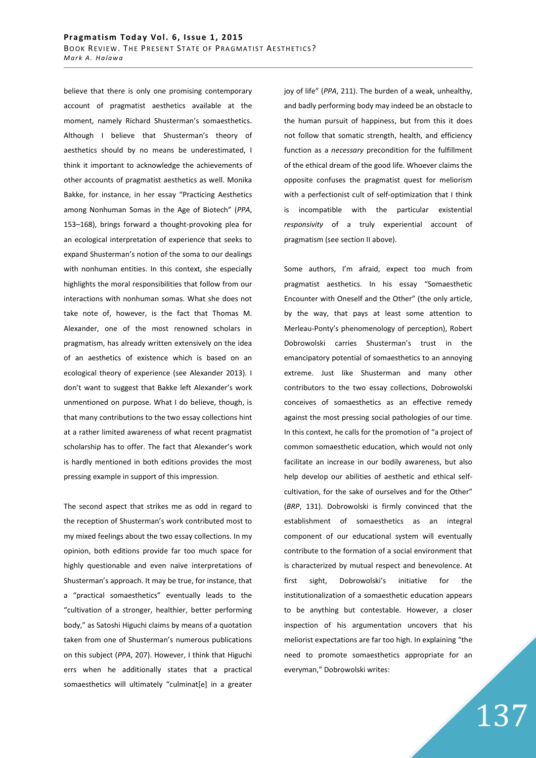believe that there is only one promising contemporary account of pragmatist aesthetics available at the moment, namely Richard Shusterman's somaesthetics. Although I believe that Shusterman's theory of aesthetics should by no means be underestimated, I think it important to acknowledge the achievements of other accounts of pragmatist aesthetics as well. Monika Bakke, for instance, in her essay "Practicing Aesthetics among Nonhuman Somas in the Age of Biotech" (*PPA*, 153–168), brings forward a thought-provoking plea for an ecological interpretation of experience that seeks to expand Shusterman's notion of the soma to our dealings with nonhuman entities. In this context, she especially highlights the moral responsibilities that follow from our interactions with nonhuman somas. What she does not take note of, however, is the fact that Thomas M. Alexander, one of the most renowned scholars in pragmatism, has already written extensively on the idea of an aesthetics of existence which is based on an ecological theory of experience (see Alexander 2013). I don't want to suggest that Bakke left Alexander's work unmentioned on purpose. What I do believe, though, is that many contributions to the two essay collections hint at a rather limited awareness of what recent pragmatist scholarship has to offer. The fact that Alexander's work is hardly mentioned in both editions provides the most pressing example in support of this impression.

The second aspect that strikes me as odd in regard to the reception of Shusterman's work contributed most to my mixed feelings about the two essay collections. In my opinion, both editions provide far too much space for highly questionable and even naïve interpretations of Shusterman's approach. It may be true, for instance, that a "practical somaesthetics" eventually leads to the "cultivation of a stronger, healthier, better performing body," as Satoshi Higuchi claims by means of a quotation taken from one of Shusterman's numerous publications on this subject (*PPA*, 207). However, I think that Higuchi errs when he additionally states that a practical somaesthetics will ultimately "culminat[e] in a greater joy of life" (*PPA*, 211). The burden of a weak, unhealthy, and badly performing body may indeed be an obstacle to the human pursuit of happiness, but from this it does not follow that somatic strength, health, and efficiency function as a *necessary* precondition for the fulfillment of the ethical dream of the good life. Whoever claims the opposite confuses the pragmatist quest for meliorism with a perfectionist cult of self-optimization that I think is incompatible with the particular existential *responsivity* of a truly experiential account of pragmatism (see section II above).

Some authors, I'm afraid, expect too much from pragmatist aesthetics. In his essay "Somaesthetic Encounter with Oneself and the Other" (the only article, by the way, that pays at least some attention to Merleau-Ponty's phenomenology of perception), Robert Dobrowolski carries Shusterman's trust in the emancipatory potential of somaesthetics to an annoying extreme. Just like Shusterman and many other contributors to the two essay collections, Dobrowolski conceives of somaesthetics as an effective remedy against the most pressing social pathologies of our time. In this context, he calls for the promotion of "a project of common somaesthetic education, which would not only facilitate an increase in our bodily awareness, but also help develop our abilities of aesthetic and ethical selfcultivation, for the sake of ourselves and for the Other" (*BRP*, 131). Dobrowolski is firmly convinced that the establishment of somaesthetics as an integral component of our educational system will eventually contribute to the formation of a social environment that is characterized by mutual respect and benevolence. At first sight, Dobrowolski's initiative for the institutionalization of a somaesthetic education appears to be anything but contestable. However, a closer inspection of his argumentation uncovers that his meliorist expectations are far too high. In explaining "the need to promote somaesthetics appropriate for an everyman," Dobrowolski writes: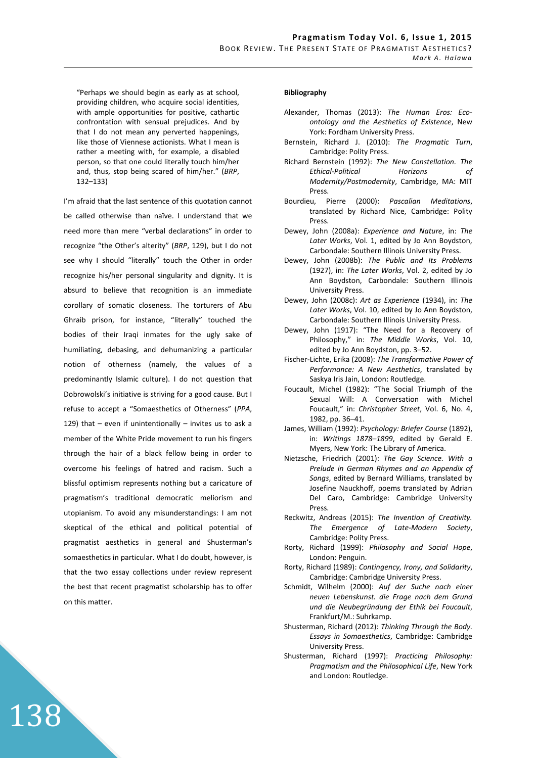"Perhaps we should begin as early as at school, providing children, who acquire social identities, with ample opportunities for positive, cathartic confrontation with sensual prejudices. And by that I do not mean any perverted happenings, like those of Viennese actionists. What I mean is rather a meeting with, for example, a disabled person, so that one could literally touch him/her and, thus, stop being scared of him/her." (*BRP*, 132–133)

I'm afraid that the last sentence of this quotation cannot be called otherwise than naïve. I understand that we need more than mere "verbal declarations" in order to recognize "the Other's alterity" (*BRP*, 129), but I do not see why I should "literally" touch the Other in order recognize his/her personal singularity and dignity. It is absurd to believe that recognition is an immediate corollary of somatic closeness. The torturers of Abu Ghraib prison, for instance, "literally" touched the bodies of their Iraqi inmates for the ugly sake of humiliating, debasing, and dehumanizing a particular notion of otherness (namely, the values of a predominantly Islamic culture). I do not question that Dobrowolski's initiative is striving for a good cause. But I refuse to accept a "Somaesthetics of Otherness" (*PPA*, 129) that  $-$  even if unintentionally  $-$  invites us to ask a member of the White Pride movement to run his fingers through the hair of a black fellow being in order to overcome his feelings of hatred and racism. Such a blissful optimism represents nothing but a caricature of pragmatism's traditional democratic meliorism and utopianism. To avoid any misunderstandings: I am not skeptical of the ethical and political potential of pragmatist aesthetics in general and Shusterman's somaesthetics in particular. What I do doubt, however, is that the two essay collections under review represent the best that recent pragmatist scholarship has to offer on this matter.

138

## **Bibliography**

- Alexander, Thomas (2013): *The Human Eros: Ecoontology and the Aesthetics of Existence*, New York: Fordham University Press.
- Bernstein, Richard J. (2010): *The Pragmatic Turn*, Cambridge: Polity Press.
- Richard Bernstein (1992): *The New Constellation. The Ethical-Political Horizons of Modernity/Postmodernity*, Cambridge, MA: MIT Press.
- Bourdieu, Pierre (2000): *Pascalian Meditations*, translated by Richard Nice, Cambridge: Polity Press.
- Dewey, John (2008a): *Experience and Nature*, in: *The Later Works*, Vol. 1, edited by Jo Ann Boydston, Carbondale: Southern Illinois University Press.
- Dewey, John (2008b): *The Public and Its Problems* (1927), in: *The Later Works*, Vol. 2, edited by Jo Ann Boydston, Carbondale: Southern Illinois University Press.
- Dewey, John (2008c): *Art as Experience* (1934), in: *The Later Works*, Vol. 10, edited by Jo Ann Boydston, Carbondale: Southern Illinois University Press.
- Dewey, John (1917): "The Need for a Recovery of Philosophy," in: *The Middle Works*, Vol. 10, edited by Jo Ann Boydston, pp. 3–52.
- Fischer-Lichte, Erika (2008): *The Transformative Power of Performance: A New Aesthetics*, translated by Saskya Iris Jain, London: Routledge.
- Foucault, Michel (1982): "The Social Triumph of the Sexual Will: A Conversation with Michel Foucault," in: *Christopher Street*, Vol. 6, No. 4, 1982, pp. 36–41.
- James, William (1992): *Psychology: Briefer Course* (1892), in: *Writings 1878–1899*, edited by Gerald E. Myers, New York: The Library of America.
- Nietzsche, Friedrich (2001): *The Gay Science. With a Prelude in German Rhymes and an Appendix of Songs*, edited by Bernard Williams, translated by Josefine Nauckhoff, poems translated by Adrian Del Caro, Cambridge: Cambridge University Press.
- Reckwitz, Andreas (2015): *The Invention of Creativity. The Emergence of Late-Modern Society*, Cambridge: Polity Press.
- Rorty, Richard (1999): *Philosophy and Social Hope*, London: Penguin.
- Rorty, Richard (1989): *Contingency, Irony, and Solidarity*, Cambridge: Cambridge University Press.
- Schmidt, Wilhelm (2000): *Auf der Suche nach einer neuen Lebenskunst. die Frage nach dem Grund und die Neubegründung der Ethik bei Foucault*, Frankfurt/M.: Suhrkamp.
- Shusterman, Richard (2012): *Thinking Through the Body. Essays in Somaesthetics*, Cambridge: Cambridge University Press.
- Shusterman, Richard (1997): *Practicing Philosophy: Pragmatism and the Philosophical Life*, New York and London: Routledge.